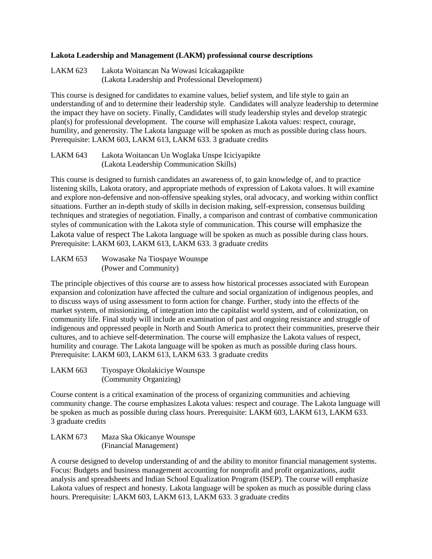## **Lakota Leadership and Management (LAKM) professional course descriptions**

LAKM 623 Lakota Woitancan Na Wowasi Icicakagapikte (Lakota Leadership and Professional Development)

This course is designed for candidates to examine values, belief system, and life style to gain an understanding of and to determine their leadership style. Candidates will analyze leadership to determine the impact they have on society. Finally, Candidates will study leadership styles and develop strategic plan(s) for professional development. The course will emphasize Lakota values: respect, courage, humility, and generosity. The Lakota language will be spoken as much as possible during class hours. Prerequisite: LAKM 603, LAKM 613, LAKM 633. 3 graduate credits

LAKM 643 Lakota Woitancan Un Woglaka Unspe Iciciyapikte (Lakota Leadership Communication Skills)

This course is designed to furnish candidates an awareness of, to gain knowledge of, and to practice listening skills, Lakota oratory, and appropriate methods of expression of Lakota values. It will examine and explore non-defensive and non-offensive speaking styles, oral advocacy, and working within conflict situations. Further an in-depth study of skills in decision making, self-expression, consensus building techniques and strategies of negotiation. Finally, a comparison and contrast of combative communication styles of communication with the Lakota style of communication. This course will emphasize the Lakota value of respect The Lakota language will be spoken as much as possible during class hours. Prerequisite: LAKM 603, LAKM 613, LAKM 633. 3 graduate credits

LAKM 653 Wowasake Na Tiospaye Wounspe (Power and Community)

The principle objectives of this course are to assess how historical processes associated with European expansion and colonization have affected the culture and social organization of indigenous peoples, and to discuss ways of using assessment to form action for change. Further, study into the effects of the market system, of missionizing, of integration into the capitalist world system, and of colonization, on community life. Final study will include an examination of past and ongoing resistance and struggle of indigenous and oppressed people in North and South America to protect their communities, preserve their cultures, and to achieve self-determination. The course will emphasize the Lakota values of respect, humility and courage. The Lakota language will be spoken as much as possible during class hours. Prerequisite: LAKM 603, LAKM 613, LAKM 633. 3 graduate credits

LAKM 663 Tiyospaye Okolakiciye Wounspe (Community Organizing)

Course content is a critical examination of the process of organizing communities and achieving community change. The course emphasizes Lakota values: respect and courage. The Lakota language will be spoken as much as possible during class hours. Prerequisite: LAKM 603, LAKM 613, LAKM 633. 3 graduate credits

```
LAKM 673 Maza Ska Okicanye Wounspe
 (Financial Management)
```
A course designed to develop understanding of and the ability to monitor financial management systems. Focus: Budgets and business management accounting for nonprofit and profit organizations, audit analysis and spreadsheets and Indian School Equalization Program (ISEP). The course will emphasize Lakota values of respect and honesty. Lakota language will be spoken as much as possible during class hours. Prerequisite: LAKM 603, LAKM 613, LAKM 633. 3 graduate credits